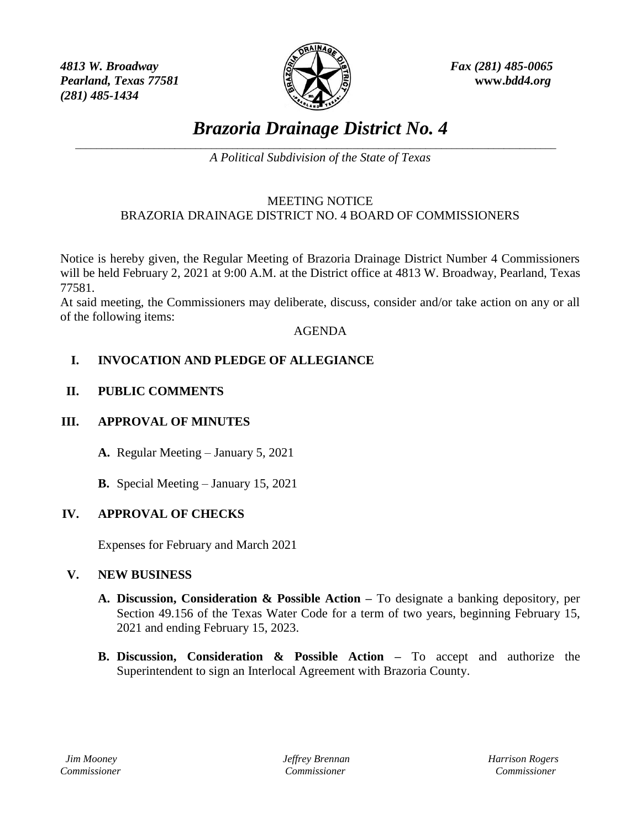*4813 W. Broadway Fax (281) 485-0065 Pearland, Texas 77581* **www.***bdd4.org (281) 485-1434*



# *Brazoria Drainage District No. 4*

\_\_\_\_\_\_\_\_\_\_\_\_\_\_\_\_\_\_\_\_\_\_\_\_\_\_\_\_\_\_\_\_\_\_\_\_\_\_\_\_\_\_\_\_\_\_\_\_\_\_\_\_\_\_\_\_\_\_\_\_\_\_\_\_\_\_\_\_\_\_\_\_\_\_\_\_\_\_\_\_\_\_\_\_\_\_\_\_\_\_\_\_ *A Political Subdivision of the State of Texas*

#### MEETING NOTICE BRAZORIA DRAINAGE DISTRICT NO. 4 BOARD OF COMMISSIONERS

Notice is hereby given, the Regular Meeting of Brazoria Drainage District Number 4 Commissioners will be held February 2, 2021 at 9:00 A.M. at the District office at 4813 W. Broadway, Pearland, Texas 77581.

At said meeting, the Commissioners may deliberate, discuss, consider and/or take action on any or all of the following items:

#### AGENDA

# **I. INVOCATION AND PLEDGE OF ALLEGIANCE**

## **II. PUBLIC COMMENTS**

## **III. APPROVAL OF MINUTES**

**A.** Regular Meeting – January 5, 2021

**B.** Special Meeting – January 15, 2021

## **IV. APPROVAL OF CHECKS**

Expenses for February and March 2021

#### **V. NEW BUSINESS**

- **A. Discussion, Consideration & Possible Action –** To designate a banking depository, per Section 49.156 of the Texas Water Code for a term of two years, beginning February 15, 2021 and ending February 15, 2023.
- **B. Discussion, Consideration & Possible Action –** To accept and authorize the Superintendent to sign an Interlocal Agreement with Brazoria County.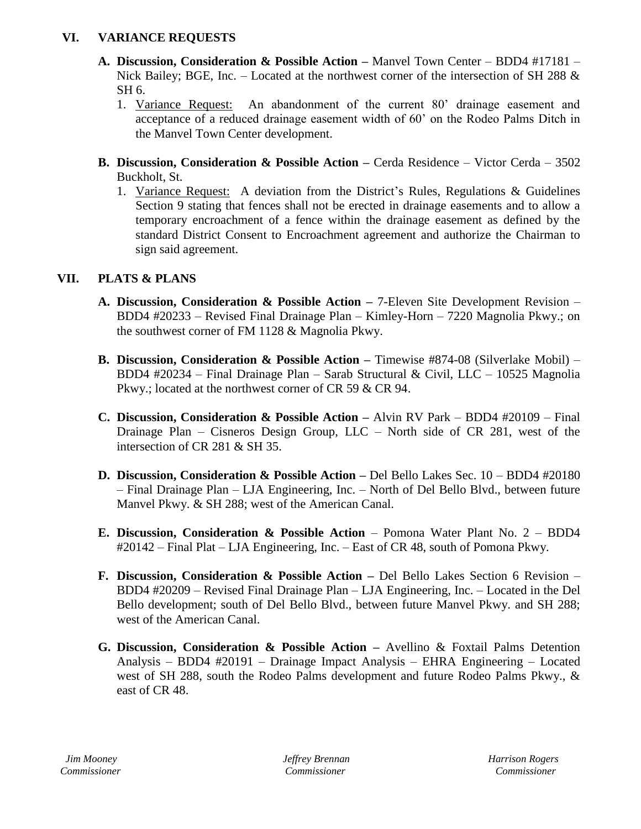## **VI. VARIANCE REQUESTS**

- **A. Discussion, Consideration & Possible Action –** Manvel Town Center BDD4 #17181 Nick Bailey: BGE, Inc. – Located at the northwest corner of the intersection of SH 288 & SH 6.
	- 1. Variance Request: An abandonment of the current 80' drainage easement and acceptance of a reduced drainage easement width of 60' on the Rodeo Palms Ditch in the Manvel Town Center development.
- **B. Discussion, Consideration & Possible Action –** Cerda Residence Victor Cerda 3502 Buckholt, St.
	- 1. Variance Request: A deviation from the District's Rules, Regulations & Guidelines Section 9 stating that fences shall not be erected in drainage easements and to allow a temporary encroachment of a fence within the drainage easement as defined by the standard District Consent to Encroachment agreement and authorize the Chairman to sign said agreement.

# **VII. PLATS & PLANS**

- **A. Discussion, Consideration & Possible Action –** 7-Eleven Site Development Revision BDD4 #20233 – Revised Final Drainage Plan – Kimley-Horn – 7220 Magnolia Pkwy.; on the southwest corner of FM 1128 & Magnolia Pkwy.
- **B. Discussion, Consideration & Possible Action –** Timewise #874-08 (Silverlake Mobil) BDD4 #20234 – Final Drainage Plan – Sarab Structural & Civil, LLC – 10525 Magnolia Pkwy.; located at the northwest corner of CR 59 & CR 94.
- **C. Discussion, Consideration & Possible Action –** Alvin RV Park BDD4 #20109 Final Drainage Plan – Cisneros Design Group, LLC – North side of CR 281, west of the intersection of CR 281 & SH 35.
- **D. Discussion, Consideration & Possible Action –** Del Bello Lakes Sec. 10 BDD4 #20180 – Final Drainage Plan – LJA Engineering, Inc. – North of Del Bello Blvd., between future Manvel Pkwy. & SH 288; west of the American Canal.
- **E. Discussion, Consideration & Possible Action** Pomona Water Plant No. 2 BDD4 #20142 – Final Plat – LJA Engineering, Inc. – East of CR 48, south of Pomona Pkwy.
- **F. Discussion, Consideration & Possible Action –** Del Bello Lakes Section 6 Revision BDD4 #20209 – Revised Final Drainage Plan – LJA Engineering, Inc. – Located in the Del Bello development; south of Del Bello Blvd., between future Manvel Pkwy. and SH 288; west of the American Canal.
- **G. Discussion, Consideration & Possible Action –** Avellino & Foxtail Palms Detention Analysis – BDD4 #20191 – Drainage Impact Analysis – EHRA Engineering – Located west of SH 288, south the Rodeo Palms development and future Rodeo Palms Pkwy., & east of CR 48.